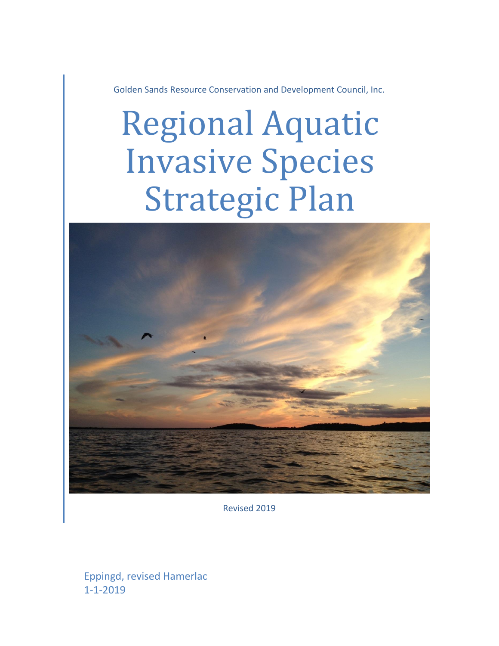Golden Sands Resource Conservation and Development Council, Inc.

# Regional Aquatic Invasive Species Strategic Plan



Revised 2019

Eppingd, revised Hamerlac 1-1-2019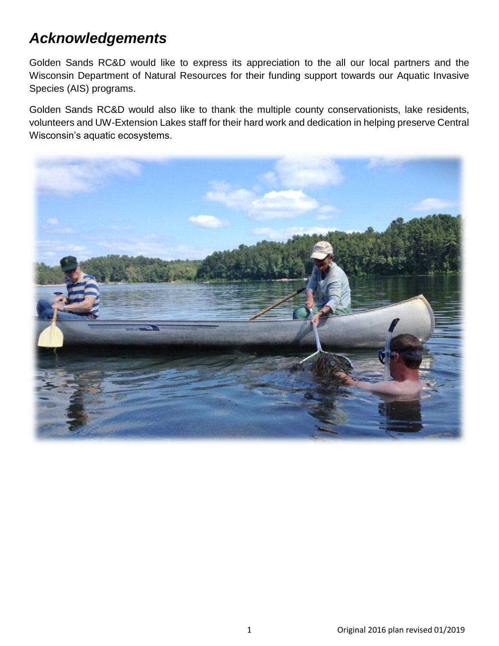## *Acknowledgements*

Golden Sands RC&D would like to express its appreciation to the all our local partners and the Wisconsin Department of Natural Resources for their funding support towards our Aquatic Invasive Species (AIS) programs.

Golden Sands RC&D would also like to thank the multiple county conservationists, lake residents, volunteers and UW-Extension Lakes staff for their hard work and dedication in helping preserve Central Wisconsin's aquatic ecosystems.

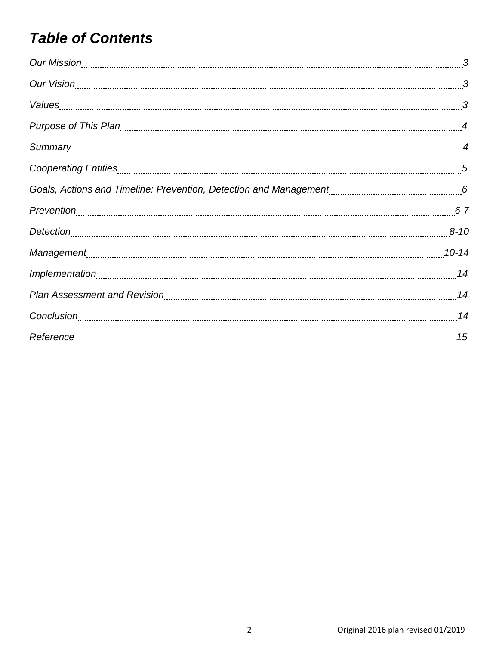# *Table of Contents*

| Our Mission 23 and 23 and 24 and 25 and 26 and 26 and 26 and 26 and 26 and 26 and 26 and 26 and 26 and 26 and 2                                                                                                                |  |
|--------------------------------------------------------------------------------------------------------------------------------------------------------------------------------------------------------------------------------|--|
|                                                                                                                                                                                                                                |  |
|                                                                                                                                                                                                                                |  |
|                                                                                                                                                                                                                                |  |
|                                                                                                                                                                                                                                |  |
|                                                                                                                                                                                                                                |  |
|                                                                                                                                                                                                                                |  |
|                                                                                                                                                                                                                                |  |
|                                                                                                                                                                                                                                |  |
| Management [10-14] [10-14] [10-14] [10-14] [10-14] [10-14] [10-14] [10-14] [10-14] [10-14] [10-14] [10-14] [10-14] [10-14] [10-14] [10-14] [10-14] [10-14] [10-14] [10-14] [10-14] [10-14] [10-14] [10-14] [10-14] [10-14] [10 |  |
|                                                                                                                                                                                                                                |  |
|                                                                                                                                                                                                                                |  |
|                                                                                                                                                                                                                                |  |
|                                                                                                                                                                                                                                |  |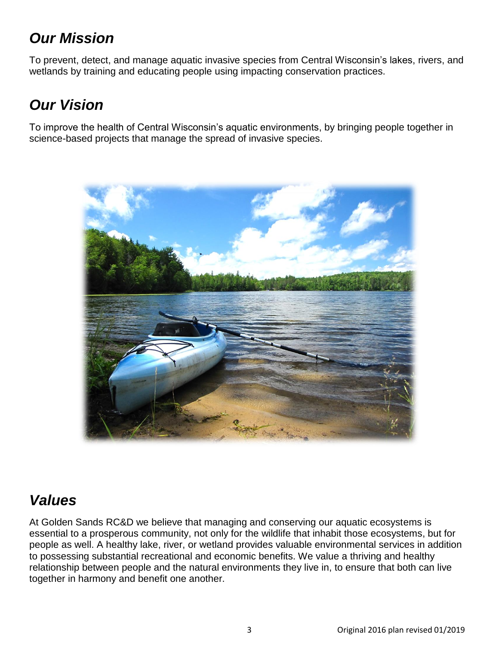# *Our Mission*

To prevent, detect, and manage aquatic invasive species from Central Wisconsin's lakes, rivers, and wetlands by training and educating people using impacting conservation practices.

# *Our Vision*

To improve the health of Central Wisconsin's aquatic environments, by bringing people together in science-based projects that manage the spread of invasive species.



# *Values*

At Golden Sands RC&D we believe that managing and conserving our aquatic ecosystems is essential to a prosperous community, not only for the wildlife that inhabit those ecosystems, but for people as well. A healthy lake, river, or wetland provides valuable environmental services in addition to possessing substantial recreational and economic benefits. We value a thriving and healthy relationship between people and the natural environments they live in, to ensure that both can live together in harmony and benefit one another.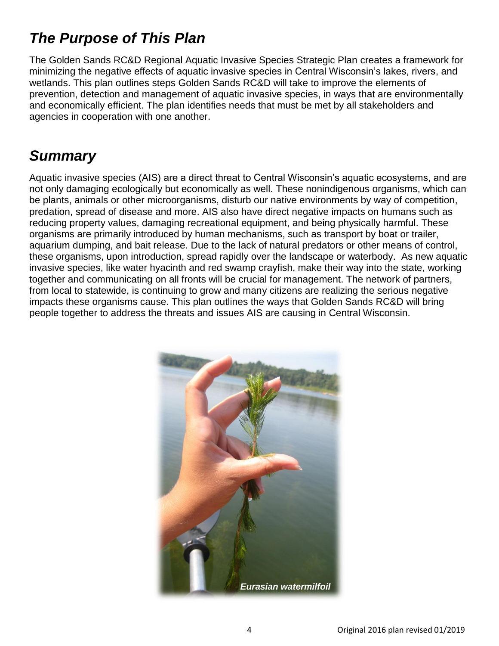# *The Purpose of This Plan*

The Golden Sands RC&D Regional Aquatic Invasive Species Strategic Plan creates a framework for minimizing the negative effects of aquatic invasive species in Central Wisconsin's lakes, rivers, and wetlands. This plan outlines steps Golden Sands RC&D will take to improve the elements of prevention, detection and management of aquatic invasive species, in ways that are environmentally and economically efficient. The plan identifies needs that must be met by all stakeholders and agencies in cooperation with one another.

#### *Summary*

Aquatic invasive species (AIS) are a direct threat to Central Wisconsin's aquatic ecosystems, and are not only damaging ecologically but economically as well. These nonindigenous organisms, which can be plants, animals or other microorganisms, disturb our native environments by way of competition, predation, spread of disease and more. AIS also have direct negative impacts on humans such as reducing property values, damaging recreational equipment, and being physically harmful. These organisms are primarily introduced by human mechanisms, such as transport by boat or trailer, aquarium dumping, and bait release. Due to the lack of natural predators or other means of control, these organisms, upon introduction, spread rapidly over the landscape or waterbody. As new aquatic invasive species, like water hyacinth and red swamp crayfish, make their way into the state, working together and communicating on all fronts will be crucial for management. The network of partners, from local to statewide, is continuing to grow and many citizens are realizing the serious negative impacts these organisms cause. This plan outlines the ways that Golden Sands RC&D will bring people together to address the threats and issues AIS are causing in Central Wisconsin.

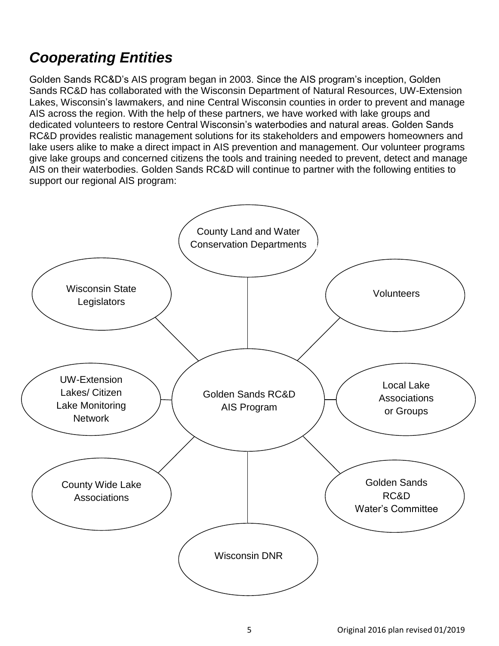# *Cooperating Entities*

Golden Sands RC&D's AIS program began in 2003. Since the AIS program's inception, Golden Sands RC&D has collaborated with the Wisconsin Department of Natural Resources, UW-Extension Lakes, Wisconsin's lawmakers, and nine Central Wisconsin counties in order to prevent and manage AIS across the region. With the help of these partners, we have worked with lake groups and dedicated volunteers to restore Central Wisconsin's waterbodies and natural areas. Golden Sands RC&D provides realistic management solutions for its stakeholders and empowers homeowners and lake users alike to make a direct impact in AIS prevention and management. Our volunteer programs give lake groups and concerned citizens the tools and training needed to prevent, detect and manage AIS on their waterbodies. Golden Sands RC&D will continue to partner with the following entities to support our regional AIS program:

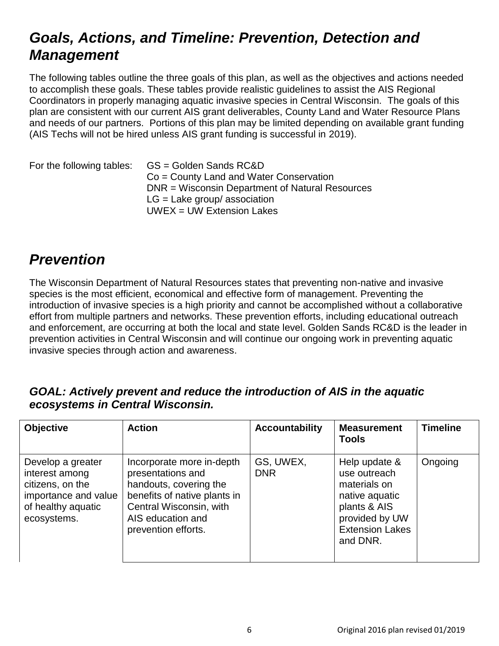#### *Goals, Actions, and Timeline: Prevention, Detection and Management*

The following tables outline the three goals of this plan, as well as the objectives and actions needed to accomplish these goals. These tables provide realistic guidelines to assist the AIS Regional Coordinators in properly managing aquatic invasive species in Central Wisconsin. The goals of this plan are consistent with our current AIS grant deliverables, County Land and Water Resource Plans and needs of our partners. Portions of this plan may be limited depending on available grant funding (AIS Techs will not be hired unless AIS grant funding is successful in 2019).

| For the following tables: | GS = Golden Sands RC&D<br>Co = County Land and Water Conservation<br>DNR = Wisconsin Department of Natural Resources |
|---------------------------|----------------------------------------------------------------------------------------------------------------------|
|                           | $LG =$ Lake group/ association                                                                                       |
|                           | $UWEX = UW Extension$                                                                                                |

#### *Prevention*

The Wisconsin Department of Natural Resources states that preventing non-native and invasive species is the most efficient, economical and effective form of management. Preventing the introduction of invasive species is a high priority and cannot be accomplished without a collaborative effort from multiple partners and networks. These prevention efforts, including educational outreach and enforcement, are occurring at both the local and state level. Golden Sands RC&D is the leader in prevention activities in Central Wisconsin and will continue our ongoing work in preventing aquatic invasive species through action and awareness.

#### *GOAL: Actively prevent and reduce the introduction of AIS in the aquatic ecosystems in Central Wisconsin.*

| <b>Objective</b>                                                                                                     | <b>Action</b>                                                                                                                                                                   | <b>Accountability</b>   | <b>Measurement</b><br><b>Tools</b>                                                                                                      | <b>Timeline</b> |
|----------------------------------------------------------------------------------------------------------------------|---------------------------------------------------------------------------------------------------------------------------------------------------------------------------------|-------------------------|-----------------------------------------------------------------------------------------------------------------------------------------|-----------------|
| Develop a greater<br>interest among<br>citizens, on the<br>importance and value<br>of healthy aquatic<br>ecosystems. | Incorporate more in-depth<br>presentations and<br>handouts, covering the<br>benefits of native plants in<br>Central Wisconsin, with<br>AIS education and<br>prevention efforts. | GS, UWEX,<br><b>DNR</b> | Help update &<br>use outreach<br>materials on<br>native aquatic<br>plants & AIS<br>provided by UW<br><b>Extension Lakes</b><br>and DNR. | Ongoing         |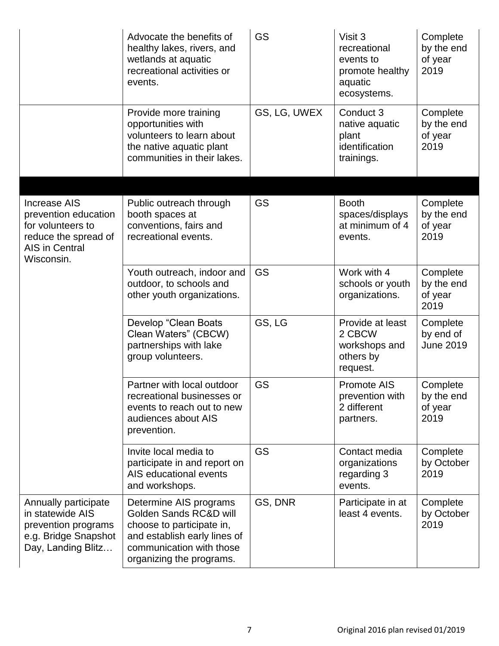|                                                                                                                                 | Advocate the benefits of<br>healthy lakes, rivers, and<br>wetlands at aquatic<br>recreational activities or<br>events.                                                | GS           | Visit 3<br>recreational<br>events to<br>promote healthy<br>aquatic<br>ecosystems. | Complete<br>by the end<br>of year<br>2019 |
|---------------------------------------------------------------------------------------------------------------------------------|-----------------------------------------------------------------------------------------------------------------------------------------------------------------------|--------------|-----------------------------------------------------------------------------------|-------------------------------------------|
|                                                                                                                                 | Provide more training<br>opportunities with<br>volunteers to learn about<br>the native aquatic plant<br>communities in their lakes.                                   | GS, LG, UWEX | Conduct 3<br>native aquatic<br>plant<br>identification<br>trainings.              | Complete<br>by the end<br>of year<br>2019 |
| <b>Increase AIS</b><br>prevention education<br>for volunteers to<br>reduce the spread of<br><b>AIS in Central</b><br>Wisconsin. | Public outreach through<br>booth spaces at<br>conventions, fairs and<br>recreational events.                                                                          | <b>GS</b>    | <b>Booth</b><br>spaces/displays<br>at minimum of 4<br>events.                     | Complete<br>by the end<br>of year<br>2019 |
|                                                                                                                                 | Youth outreach, indoor and<br>outdoor, to schools and<br>other youth organizations.                                                                                   | <b>GS</b>    | Work with 4<br>schools or youth<br>organizations.                                 | Complete<br>by the end<br>of year<br>2019 |
|                                                                                                                                 | Develop "Clean Boats<br>Clean Waters" (CBCW)<br>partnerships with lake<br>group volunteers.                                                                           | GS, LG       | Provide at least<br>2 CBCW<br>workshops and<br>others by<br>request.              | Complete<br>by end of<br><b>June 2019</b> |
|                                                                                                                                 | Partner with local outdoor<br>recreational businesses or<br>events to reach out to new<br>audiences about AIS<br>prevention.                                          | GS           | Promote AIS<br>prevention with<br>2 different<br>partners.                        | Complete<br>by the end<br>of year<br>2019 |
|                                                                                                                                 | Invite local media to<br>participate in and report on<br>AIS educational events<br>and workshops.                                                                     | <b>GS</b>    | Contact media<br>organizations<br>regarding 3<br>events.                          | Complete<br>by October<br>2019            |
| Annually participate<br>in statewide AIS<br>prevention programs<br>e.g. Bridge Snapshot<br>Day, Landing Blitz                   | Determine AIS programs<br>Golden Sands RC&D will<br>choose to participate in,<br>and establish early lines of<br>communication with those<br>organizing the programs. | GS, DNR      | Participate in at<br>least 4 events.                                              | Complete<br>by October<br>2019            |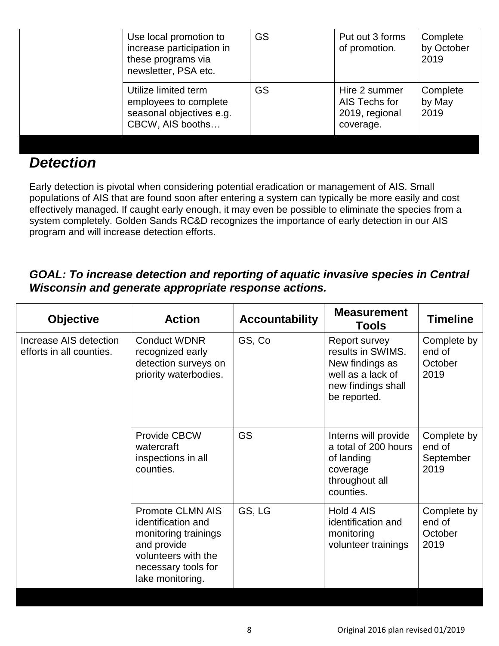| Use local promotion to<br>increase participation in<br>these programs via<br>newsletter, PSA etc. | <b>GS</b> | Put out 3 forms<br>of promotion.                              | Complete<br>by October<br>2019 |
|---------------------------------------------------------------------------------------------------|-----------|---------------------------------------------------------------|--------------------------------|
| Utilize limited term<br>employees to complete<br>seasonal objectives e.g.<br>CBCW, AIS booths     | <b>GS</b> | Hire 2 summer<br>AIS Techs for<br>2019, regional<br>coverage. | Complete<br>by May<br>2019     |

#### *Detection*

Early detection is pivotal when considering potential eradication or management of AIS. Small populations of AIS that are found soon after entering a system can typically be more easily and cost effectively managed. If caught early enough, it may even be possible to eliminate the species from a system completely. Golden Sands RC&D recognizes the importance of early detection in our AIS program and will increase detection efforts.

#### *GOAL: To increase detection and reporting of aquatic invasive species in Central Wisconsin and generate appropriate response actions.*

| <b>Objective</b>                                   | <b>Action</b>                                                                                                                                          | <b>Accountability</b> | <b>Measurement</b><br>Tools                                                                                      | <b>Timeline</b>                            |
|----------------------------------------------------|--------------------------------------------------------------------------------------------------------------------------------------------------------|-----------------------|------------------------------------------------------------------------------------------------------------------|--------------------------------------------|
| Increase AIS detection<br>efforts in all counties. | <b>Conduct WDNR</b><br>recognized early<br>detection surveys on<br>priority waterbodies.                                                               | GS, Co                | Report survey<br>results in SWIMS.<br>New findings as<br>well as a lack of<br>new findings shall<br>be reported. | Complete by<br>end of<br>October<br>2019   |
|                                                    | <b>Provide CBCW</b><br>watercraft<br>inspections in all<br>counties.                                                                                   | <b>GS</b>             | Interns will provide<br>a total of 200 hours<br>of landing<br>coverage<br>throughout all<br>counties.            | Complete by<br>end of<br>September<br>2019 |
|                                                    | <b>Promote CLMN AIS</b><br>identification and<br>monitoring trainings<br>and provide<br>volunteers with the<br>necessary tools for<br>lake monitoring. | GS, LG                | Hold 4 AIS<br>identification and<br>monitoring<br>volunteer trainings                                            | Complete by<br>end of<br>October<br>2019   |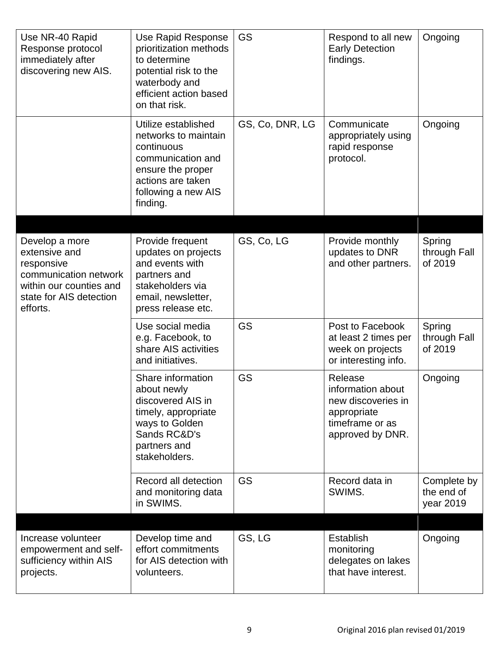| Use NR-40 Rapid<br>Response protocol<br>immediately after<br>discovering new AIS.                                                        | Use Rapid Response<br>prioritization methods<br>to determine<br>potential risk to the<br>waterbody and<br>efficient action based<br>on that risk.           | GS              | Respond to all new<br><b>Early Detection</b><br>findings.                                                | Ongoing                                |
|------------------------------------------------------------------------------------------------------------------------------------------|-------------------------------------------------------------------------------------------------------------------------------------------------------------|-----------------|----------------------------------------------------------------------------------------------------------|----------------------------------------|
|                                                                                                                                          | Utilize established<br>networks to maintain<br>continuous<br>communication and<br>ensure the proper<br>actions are taken<br>following a new AIS<br>finding. | GS, Co, DNR, LG | Communicate<br>appropriately using<br>rapid response<br>protocol.                                        | Ongoing                                |
| Develop a more<br>extensive and<br>responsive<br>communication network<br>within our counties and<br>state for AIS detection<br>efforts. | Provide frequent<br>updates on projects<br>and events with<br>partners and<br>stakeholders via<br>email, newsletter,<br>press release etc.                  | GS, Co, LG      | Provide monthly<br>updates to DNR<br>and other partners.                                                 | Spring<br>through Fall<br>of 2019      |
|                                                                                                                                          | Use social media<br>e.g. Facebook, to<br>share AIS activities<br>and initiatives.                                                                           | <b>GS</b>       | Post to Facebook<br>at least 2 times per<br>week on projects<br>or interesting info.                     | Spring<br>through Fall<br>of 2019      |
|                                                                                                                                          | Share information<br>about newly<br>discovered AIS in<br>timely, appropriate<br>ways to Golden<br>Sands RC&D's<br>partners and<br>stakeholders.             | <b>GS</b>       | Release<br>information about<br>new discoveries in<br>appropriate<br>timeframe or as<br>approved by DNR. | Ongoing                                |
|                                                                                                                                          | Record all detection<br>and monitoring data<br>in SWIMS.                                                                                                    | <b>GS</b>       | Record data in<br>SWIMS.                                                                                 | Complete by<br>the end of<br>year 2019 |
| Increase volunteer<br>empowerment and self-<br>sufficiency within AIS<br>projects.                                                       | Develop time and<br>effort commitments<br>for AIS detection with<br>volunteers.                                                                             | GS, LG          | <b>Establish</b><br>monitoring<br>delegates on lakes<br>that have interest.                              | Ongoing                                |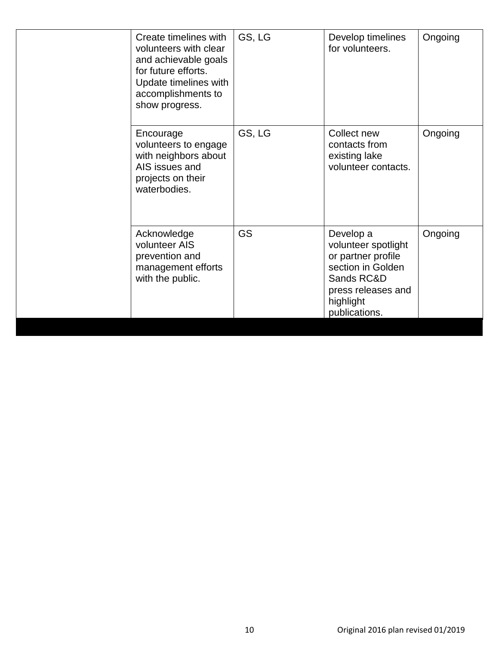| Create timelines with<br>volunteers with clear<br>and achievable goals<br>for future efforts.<br>Update timelines with<br>accomplishments to<br>show progress. | GS, LG    | Develop timelines<br>for volunteers.                                                                                                          | Ongoing |
|----------------------------------------------------------------------------------------------------------------------------------------------------------------|-----------|-----------------------------------------------------------------------------------------------------------------------------------------------|---------|
| Encourage<br>volunteers to engage<br>with neighbors about<br>AIS issues and<br>projects on their<br>waterbodies.                                               | GS, LG    | Collect new<br>contacts from<br>existing lake<br>volunteer contacts.                                                                          | Ongoing |
| Acknowledge<br>volunteer AIS<br>prevention and<br>management efforts<br>with the public.                                                                       | <b>GS</b> | Develop a<br>volunteer spotlight<br>or partner profile<br>section in Golden<br>Sands RC&D<br>press releases and<br>highlight<br>publications. | Ongoing |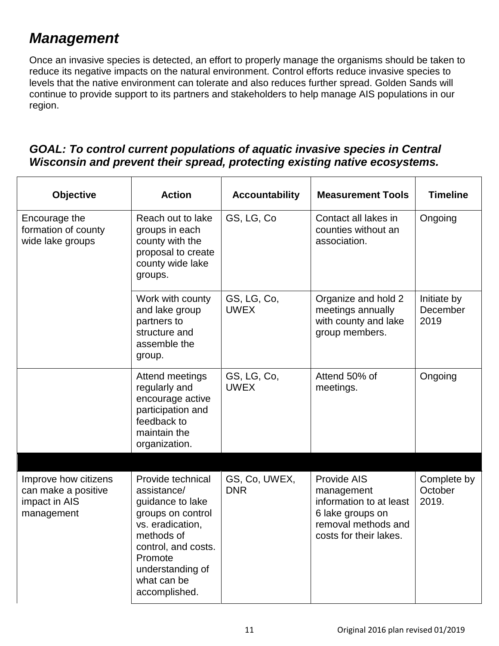## *Management*

Once an invasive species is detected, an effort to properly manage the organisms should be taken to reduce its negative impacts on the natural environment. Control efforts reduce invasive species to levels that the native environment can tolerate and also reduces further spread. Golden Sands will continue to provide support to its partners and stakeholders to help manage AIS populations in our region.

#### *GOAL: To control current populations of aquatic invasive species in Central Wisconsin and prevent their spread, protecting existing native ecosystems.*

| <b>Objective</b>                                                           | <b>Action</b>                                                                                                                                                                                     | <b>Accountability</b>       | <b>Measurement Tools</b>                                                                                                  | <b>Timeline</b>                 |
|----------------------------------------------------------------------------|---------------------------------------------------------------------------------------------------------------------------------------------------------------------------------------------------|-----------------------------|---------------------------------------------------------------------------------------------------------------------------|---------------------------------|
| Encourage the<br>formation of county<br>wide lake groups                   | Reach out to lake<br>groups in each<br>county with the<br>proposal to create<br>county wide lake<br>groups.                                                                                       | GS, LG, Co                  | Contact all lakes in<br>counties without an<br>association.                                                               | Ongoing                         |
|                                                                            | Work with county<br>and lake group<br>partners to<br>structure and<br>assemble the<br>group.                                                                                                      | GS, LG, Co,<br><b>UWEX</b>  | Organize and hold 2<br>meetings annually<br>with county and lake<br>group members.                                        | Initiate by<br>December<br>2019 |
|                                                                            | Attend meetings<br>regularly and<br>encourage active<br>participation and<br>feedback to<br>maintain the<br>organization.                                                                         | GS, LG, Co,<br><b>UWEX</b>  | Attend 50% of<br>meetings.                                                                                                | Ongoing                         |
| Improve how citizens<br>can make a positive<br>impact in AIS<br>management | Provide technical<br>assistance/<br>guidance to lake<br>groups on control<br>vs. eradication,<br>methods of<br>control, and costs.<br>Promote<br>understanding of<br>what can be<br>accomplished. | GS, Co, UWEX,<br><b>DNR</b> | Provide AIS<br>management<br>information to at least<br>6 lake groups on<br>removal methods and<br>costs for their lakes. | Complete by<br>October<br>2019. |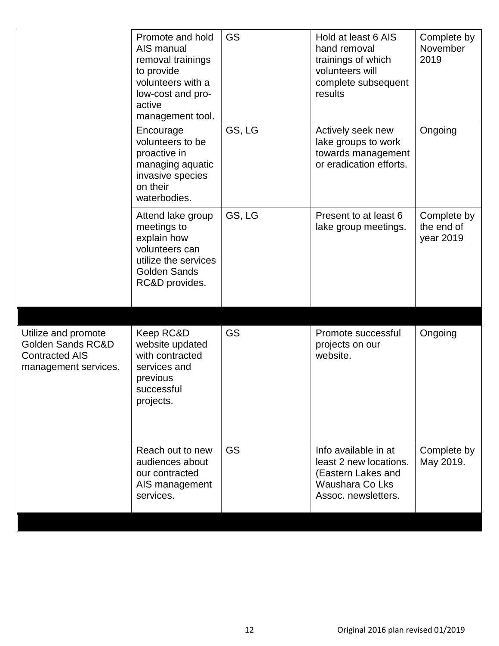|                                                                                                      | Promote and hold<br>AIS manual<br>removal trainings<br>to provide<br>volunteers with a<br>low-cost and pro-<br>active<br>management tool. | <b>GS</b> | Hold at least 6 AIS<br>hand removal<br>trainings of which<br>volunteers will<br>complete subsequent<br>results | Complete by<br>November<br>2019        |
|------------------------------------------------------------------------------------------------------|-------------------------------------------------------------------------------------------------------------------------------------------|-----------|----------------------------------------------------------------------------------------------------------------|----------------------------------------|
|                                                                                                      | Encourage<br>volunteers to be<br>proactive in<br>managing aquatic<br>invasive species<br>on their<br>waterbodies.                         | GS, LG    | Actively seek new<br>lake groups to work<br>towards management<br>or eradication efforts.                      | Ongoing                                |
|                                                                                                      | Attend lake group<br>meetings to<br>explain how<br>volunteers can<br>utilize the services<br><b>Golden Sands</b><br>RC&D provides.        | GS, LG    | Present to at least 6<br>lake group meetings.                                                                  | Complete by<br>the end of<br>year 2019 |
| Utilize and promote<br><b>Golden Sands RC&amp;D</b><br><b>Contracted AIS</b><br>management services. | Keep RC&D<br>website updated<br>with contracted<br>services and<br>previous<br>successful<br>projects.                                    | <b>GS</b> | Promote successful<br>projects on our<br>website.                                                              | Ongoing                                |
|                                                                                                      | Reach out to new<br>audiences about<br>our contracted<br>AIS management<br>services.                                                      | <b>GS</b> | Info available in at<br>least 2 new locations.<br>(Eastern Lakes and<br>Waushara Co Lks<br>Assoc. newsletters. | Complete by<br>May 2019.               |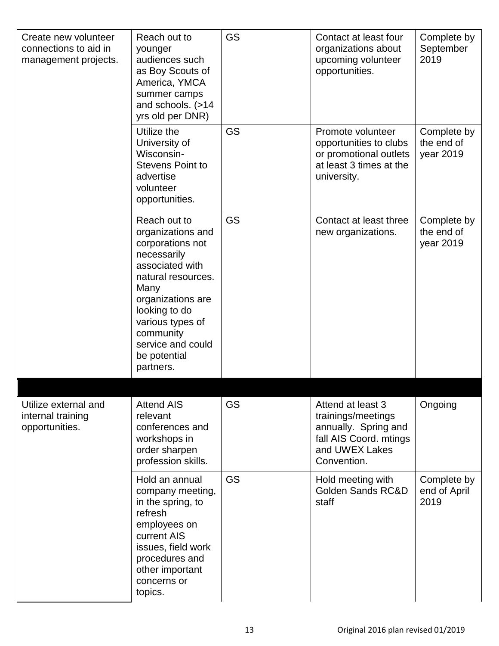| Create new volunteer<br>connections to aid in<br>management projects. | Reach out to<br>younger<br>audiences such<br>as Boy Scouts of<br>America, YMCA<br>summer camps<br>and schools. (>14<br>yrs old per DNR)                                                                                                        | <b>GS</b> | Contact at least four<br>organizations about<br>upcoming volunteer<br>opportunities.                                       | Complete by<br>September<br>2019       |
|-----------------------------------------------------------------------|------------------------------------------------------------------------------------------------------------------------------------------------------------------------------------------------------------------------------------------------|-----------|----------------------------------------------------------------------------------------------------------------------------|----------------------------------------|
|                                                                       | Utilize the<br>University of<br>Wisconsin-<br><b>Stevens Point to</b><br>advertise<br>volunteer<br>opportunities.                                                                                                                              | <b>GS</b> | Promote volunteer<br>opportunities to clubs<br>or promotional outlets<br>at least 3 times at the<br>university.            | Complete by<br>the end of<br>year 2019 |
|                                                                       | Reach out to<br>organizations and<br>corporations not<br>necessarily<br>associated with<br>natural resources.<br>Many<br>organizations are<br>looking to do<br>various types of<br>community<br>service and could<br>be potential<br>partners. | <b>GS</b> | Contact at least three<br>new organizations.                                                                               | Complete by<br>the end of<br>year 2019 |
|                                                                       |                                                                                                                                                                                                                                                |           |                                                                                                                            |                                        |
| Utilize external and<br>internal training<br>opportunities.           | <b>Attend AIS</b><br>relevant<br>conferences and<br>workshops in<br>order sharpen<br>profession skills.                                                                                                                                        | <b>GS</b> | Attend at least 3<br>trainings/meetings<br>annually. Spring and<br>fall AIS Coord. mtings<br>and UWEX Lakes<br>Convention. | Ongoing                                |
|                                                                       | Hold an annual<br>company meeting,<br>in the spring, to<br>refresh<br>employees on<br>current AIS<br>issues, field work<br>procedures and<br>other important<br>concerns or<br>topics.                                                         | <b>GS</b> | Hold meeting with<br><b>Golden Sands RC&amp;D</b><br>staff                                                                 | Complete by<br>end of April<br>2019    |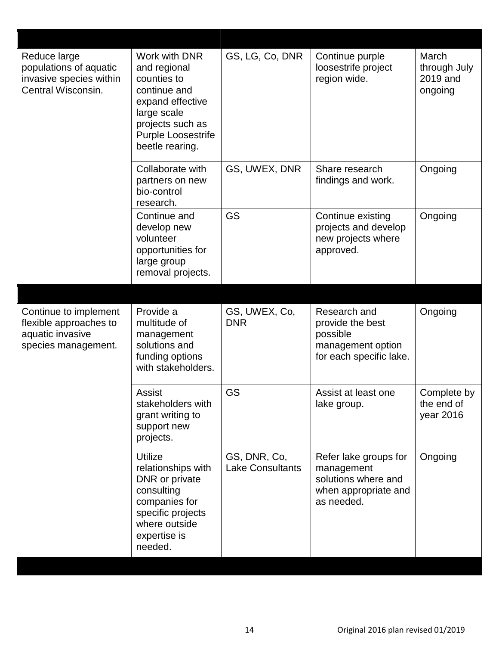| Reduce large<br>populations of aquatic<br>invasive species within<br>Central Wisconsin.    | Work with DNR<br>and regional<br>counties to<br>continue and<br>expand effective<br>large scale<br>projects such as<br>Purple Loosestrife<br>beetle rearing. | GS, LG, Co, DNR                         | Continue purple<br>loosestrife project<br>region wide.                                           | March<br>through July<br>2019 and<br>ongoing |
|--------------------------------------------------------------------------------------------|--------------------------------------------------------------------------------------------------------------------------------------------------------------|-----------------------------------------|--------------------------------------------------------------------------------------------------|----------------------------------------------|
|                                                                                            | Collaborate with<br>partners on new<br>bio-control<br>research.                                                                                              | GS, UWEX, DNR                           | Share research<br>findings and work.                                                             | Ongoing                                      |
|                                                                                            | Continue and<br>develop new<br>volunteer<br>opportunities for<br>large group<br>removal projects.                                                            | <b>GS</b>                               | Continue existing<br>projects and develop<br>new projects where<br>approved.                     | Ongoing                                      |
| Continue to implement<br>flexible approaches to<br>aquatic invasive<br>species management. | Provide a<br>multitude of<br>management<br>solutions and<br>funding options<br>with stakeholders.                                                            | GS, UWEX, Co,<br><b>DNR</b>             | Research and<br>provide the best<br>possible<br>management option<br>for each specific lake.     | Ongoing                                      |
|                                                                                            | <b>Assist</b><br>stakeholders with<br>grant writing to<br>support new<br>projects.                                                                           | <b>GS</b>                               | Assist at least one<br>lake group.                                                               | Complete by<br>the end of<br>year 2016       |
|                                                                                            | <b>Utilize</b><br>relationships with<br>DNR or private<br>consulting<br>companies for<br>specific projects<br>where outside<br>expertise is<br>needed.       | GS, DNR, Co,<br><b>Lake Consultants</b> | Refer lake groups for<br>management<br>solutions where and<br>when appropriate and<br>as needed. | Ongoing                                      |